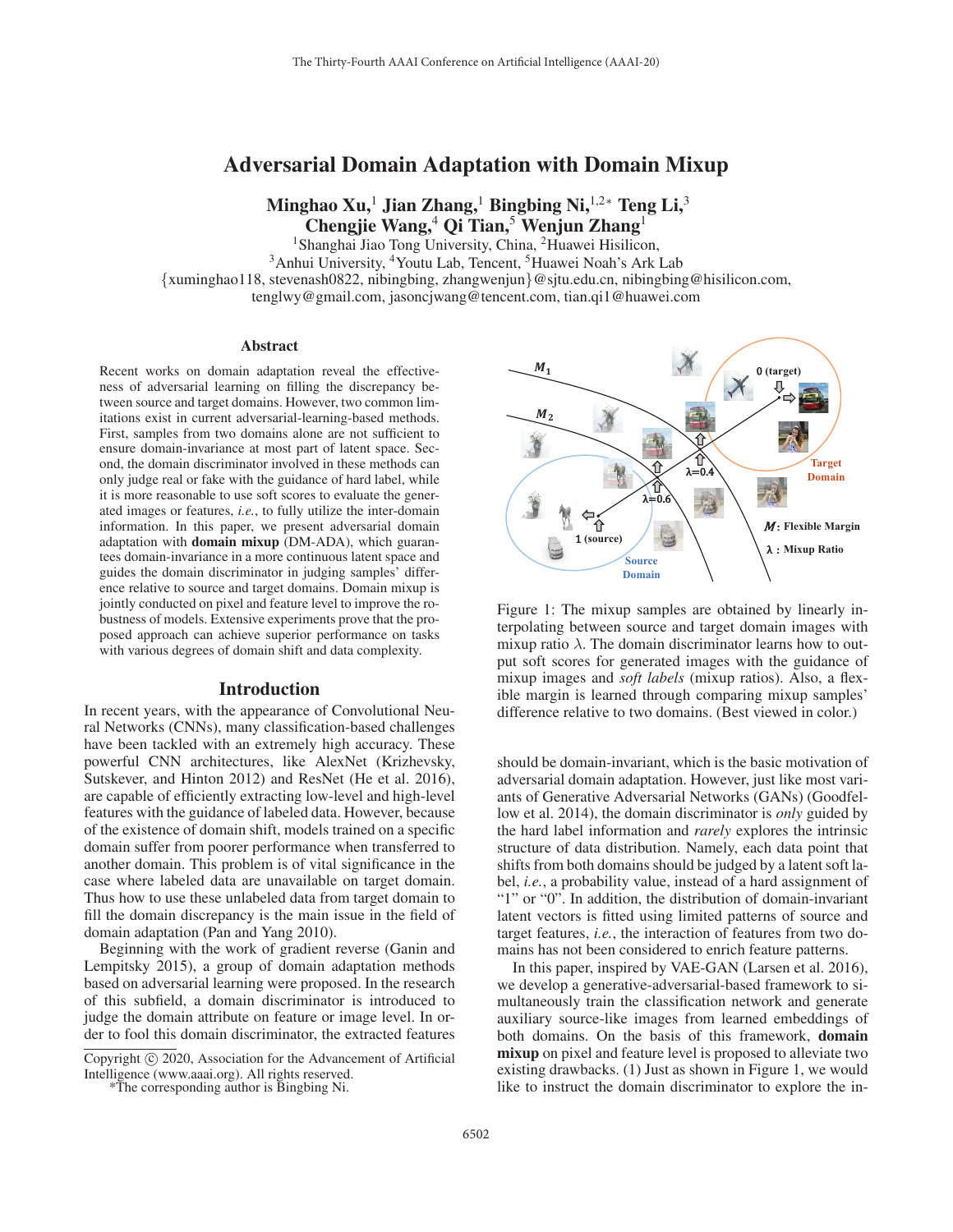# Adversarial Domain Adaptation with Domain Mixup

Minghao Xu,<sup>1</sup> Jian Zhang,<sup>1</sup> Bingbing Ni,<sup>1,2</sup>\* Teng Li,<sup>3</sup> Chengjie Wang, $4$  Oi Tian, $5$  Wenjun Zhang<sup>1</sup>

<sup>1</sup>Shanghai Jiao Tong University, China, <sup>2</sup>Huawei Hisilicon,

<sup>3</sup>Anhui University, <sup>4</sup>Youtu Lab, Tencent, <sup>5</sup>Huawei Noah's Ark Lab

{xuminghao118, stevenash0822, nibingbing, zhangwenjun}@sjtu.edu.cn, nibingbing@hisilicon.com,

tenglwy@gmail.com, jasoncjwang@tencent.com, tian.qi1@huawei.com

#### **Abstract**

Recent works on domain adaptation reveal the effectiveness of adversarial learning on filling the discrepancy between source and target domains. However, two common limitations exist in current adversarial-learning-based methods. First, samples from two domains alone are not sufficient to ensure domain-invariance at most part of latent space. Second, the domain discriminator involved in these methods can only judge real or fake with the guidance of hard label, while it is more reasonable to use soft scores to evaluate the generated images or features, *i.e.*, to fully utilize the inter-domain information. In this paper, we present adversarial domain adaptation with domain mixup (DM-ADA), which guarantees domain-invariance in a more continuous latent space and guides the domain discriminator in judging samples' difference relative to source and target domains. Domain mixup is jointly conducted on pixel and feature level to improve the robustness of models. Extensive experiments prove that the proposed approach can achieve superior performance on tasks with various degrees of domain shift and data complexity.

#### Introduction

In recent years, with the appearance of Convolutional Neural Networks (CNNs), many classification-based challenges have been tackled with an extremely high accuracy. These powerful CNN architectures, like AlexNet (Krizhevsky, Sutskever, and Hinton 2012) and ResNet (He et al. 2016), are capable of efficiently extracting low-level and high-level features with the guidance of labeled data. However, because of the existence of domain shift, models trained on a specific domain suffer from poorer performance when transferred to another domain. This problem is of vital significance in the case where labeled data are unavailable on target domain. Thus how to use these unlabeled data from target domain to fill the domain discrepancy is the main issue in the field of domain adaptation (Pan and Yang 2010).

Beginning with the work of gradient reverse (Ganin and Lempitsky 2015), a group of domain adaptation methods based on adversarial learning were proposed. In the research of this subfield, a domain discriminator is introduced to judge the domain attribute on feature or image level. In order to fool this domain discriminator, the extracted features



Figure 1: The mixup samples are obtained by linearly interpolating between source and target domain images with mixup ratio  $\lambda$ . The domain discriminator learns how to output soft scores for generated images with the guidance of mixup images and *soft labels* (mixup ratios). Also, a flexible margin is learned through comparing mixup samples' difference relative to two domains. (Best viewed in color.)

should be domain-invariant, which is the basic motivation of adversarial domain adaptation. However, just like most variants of Generative Adversarial Networks (GANs) (Goodfellow et al. 2014), the domain discriminator is *only* guided by the hard label information and *rarely* explores the intrinsic structure of data distribution. Namely, each data point that shifts from both domains should be judged by a latent soft label, *i.e.*, a probability value, instead of a hard assignment of "1" or "0". In addition, the distribution of domain-invariant latent vectors is fitted using limited patterns of source and target features, *i.e.*, the interaction of features from two domains has not been considered to enrich feature patterns.

In this paper, inspired by VAE-GAN (Larsen et al. 2016), we develop a generative-adversarial-based framework to simultaneously train the classification network and generate auxiliary source-like images from learned embeddings of both domains. On the basis of this framework, domain mixup on pixel and feature level is proposed to alleviate two existing drawbacks. (1) Just as shown in Figure 1, we would like to instruct the domain discriminator to explore the in-

Copyright  $\odot$  2020, Association for the Advancement of Artificial Intelligence (www.aaai.org). All rights reserved.

<sup>\*</sup>The corresponding author is Bingbing Ni.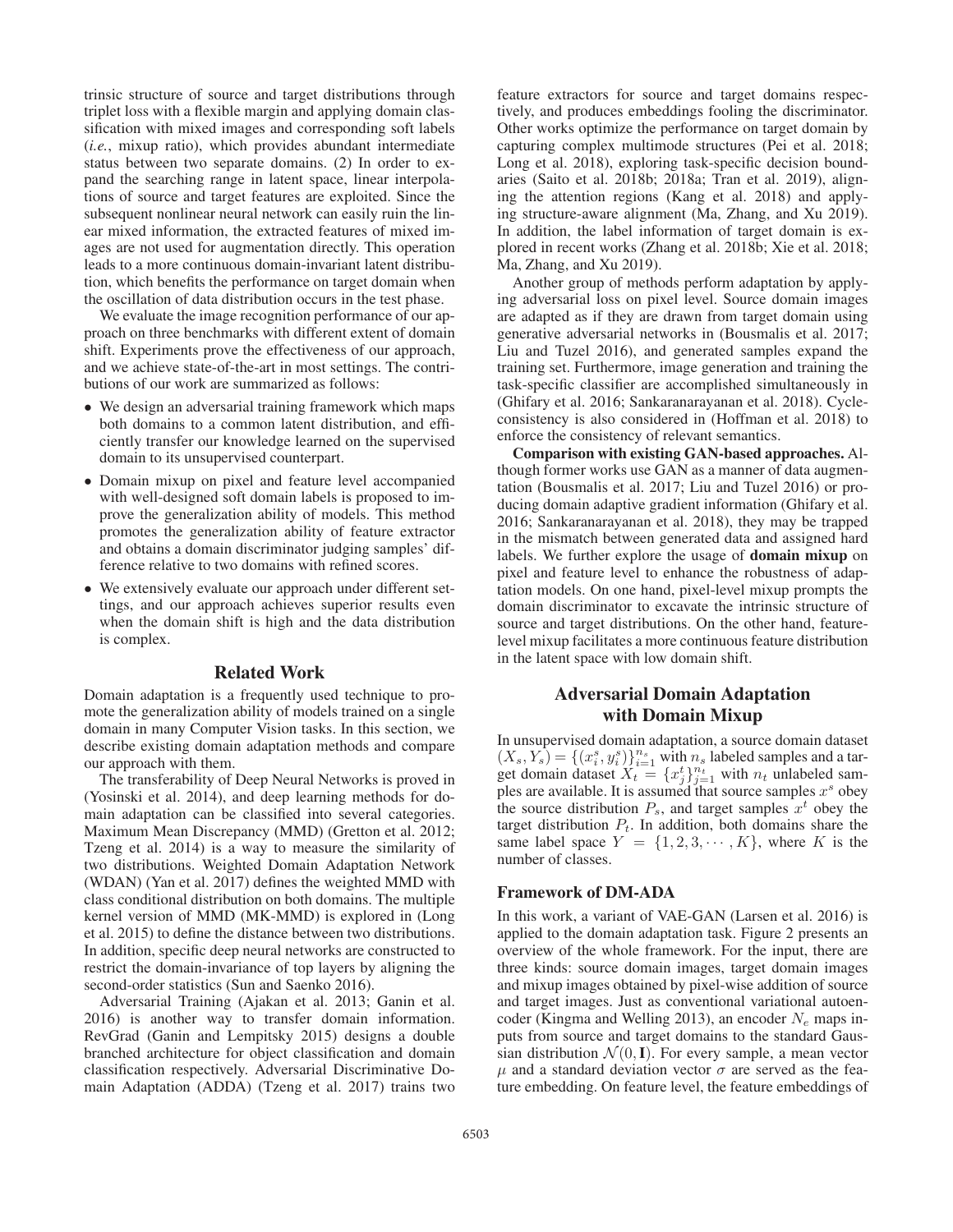trinsic structure of source and target distributions through triplet loss with a flexible margin and applying domain classification with mixed images and corresponding soft labels (*i.e.*, mixup ratio), which provides abundant intermediate status between two separate domains. (2) In order to expand the searching range in latent space, linear interpolations of source and target features are exploited. Since the subsequent nonlinear neural network can easily ruin the linear mixed information, the extracted features of mixed images are not used for augmentation directly. This operation leads to a more continuous domain-invariant latent distribution, which benefits the performance on target domain when the oscillation of data distribution occurs in the test phase.

We evaluate the image recognition performance of our approach on three benchmarks with different extent of domain shift. Experiments prove the effectiveness of our approach, and we achieve state-of-the-art in most settings. The contributions of our work are summarized as follows:

- We design an adversarial training framework which maps both domains to a common latent distribution, and efficiently transfer our knowledge learned on the supervised domain to its unsupervised counterpart.
- Domain mixup on pixel and feature level accompanied with well-designed soft domain labels is proposed to improve the generalization ability of models. This method promotes the generalization ability of feature extractor and obtains a domain discriminator judging samples' difference relative to two domains with refined scores.
- We extensively evaluate our approach under different settings, and our approach achieves superior results even when the domain shift is high and the data distribution is complex.

#### Related Work

Domain adaptation is a frequently used technique to promote the generalization ability of models trained on a single domain in many Computer Vision tasks. In this section, we describe existing domain adaptation methods and compare our approach with them.

The transferability of Deep Neural Networks is proved in (Yosinski et al. 2014), and deep learning methods for domain adaptation can be classified into several categories. Maximum Mean Discrepancy (MMD) (Gretton et al. 2012; Tzeng et al. 2014) is a way to measure the similarity of two distributions. Weighted Domain Adaptation Network (WDAN) (Yan et al. 2017) defines the weighted MMD with class conditional distribution on both domains. The multiple kernel version of MMD (MK-MMD) is explored in (Long et al. 2015) to define the distance between two distributions. In addition, specific deep neural networks are constructed to restrict the domain-invariance of top layers by aligning the second-order statistics (Sun and Saenko 2016).

Adversarial Training (Ajakan et al. 2013; Ganin et al. 2016) is another way to transfer domain information. RevGrad (Ganin and Lempitsky 2015) designs a double branched architecture for object classification and domain classification respectively. Adversarial Discriminative Domain Adaptation (ADDA) (Tzeng et al. 2017) trains two feature extractors for source and target domains respectively, and produces embeddings fooling the discriminator. Other works optimize the performance on target domain by capturing complex multimode structures (Pei et al. 2018; Long et al. 2018), exploring task-specific decision boundaries (Saito et al. 2018b; 2018a; Tran et al. 2019), aligning the attention regions (Kang et al. 2018) and applying structure-aware alignment (Ma, Zhang, and Xu 2019). In addition, the label information of target domain is explored in recent works (Zhang et al. 2018b; Xie et al. 2018; Ma, Zhang, and Xu 2019).

Another group of methods perform adaptation by applying adversarial loss on pixel level. Source domain images are adapted as if they are drawn from target domain using generative adversarial networks in (Bousmalis et al. 2017; Liu and Tuzel 2016), and generated samples expand the training set. Furthermore, image generation and training the task-specific classifier are accomplished simultaneously in (Ghifary et al. 2016; Sankaranarayanan et al. 2018). Cycleconsistency is also considered in (Hoffman et al. 2018) to enforce the consistency of relevant semantics.

Comparison with existing GAN-based approaches. Although former works use GAN as a manner of data augmentation (Bousmalis et al. 2017; Liu and Tuzel 2016) or producing domain adaptive gradient information (Ghifary et al. 2016; Sankaranarayanan et al. 2018), they may be trapped in the mismatch between generated data and assigned hard labels. We further explore the usage of domain mixup on pixel and feature level to enhance the robustness of adaptation models. On one hand, pixel-level mixup prompts the domain discriminator to excavate the intrinsic structure of source and target distributions. On the other hand, featurelevel mixup facilitates a more continuous feature distribution in the latent space with low domain shift.

# Adversarial Domain Adaptation with Domain Mixup

In unsupervised domain adaptation, a source domain dataset  $(X_s, Y_s) = \{(x_i^s, y_i^s)\}_{i=1}^{n_s}$  with  $n_s$  labeled samples and a target domain dataset  $X_t = \{x_j^t\}_{j=1}^{n_t}$  with  $n_t$  unlabeled samples are available. It is assumed that source samples  $x^s$  obey the source distribution  $P_s$ , and target samples  $x^t$  obey the target distribution  $P_t$ . In addition, both domains share the same label space  $Y = \{1, 2, 3, \cdots, K\}$ , where K is the number of classes.

# Framework of DM-ADA

In this work, a variant of VAE-GAN (Larsen et al. 2016) is applied to the domain adaptation task. Figure 2 presents an overview of the whole framework. For the input, there are three kinds: source domain images, target domain images and mixup images obtained by pixel-wise addition of source and target images. Just as conventional variational autoencoder (Kingma and Welling 2013), an encoder  $N_e$  maps inputs from source and target domains to the standard Gaussian distribution  $\mathcal{N}(0, I)$ . For every sample, a mean vector  $\mu$  and a standard deviation vector  $\sigma$  are served as the feature embedding. On feature level, the feature embeddings of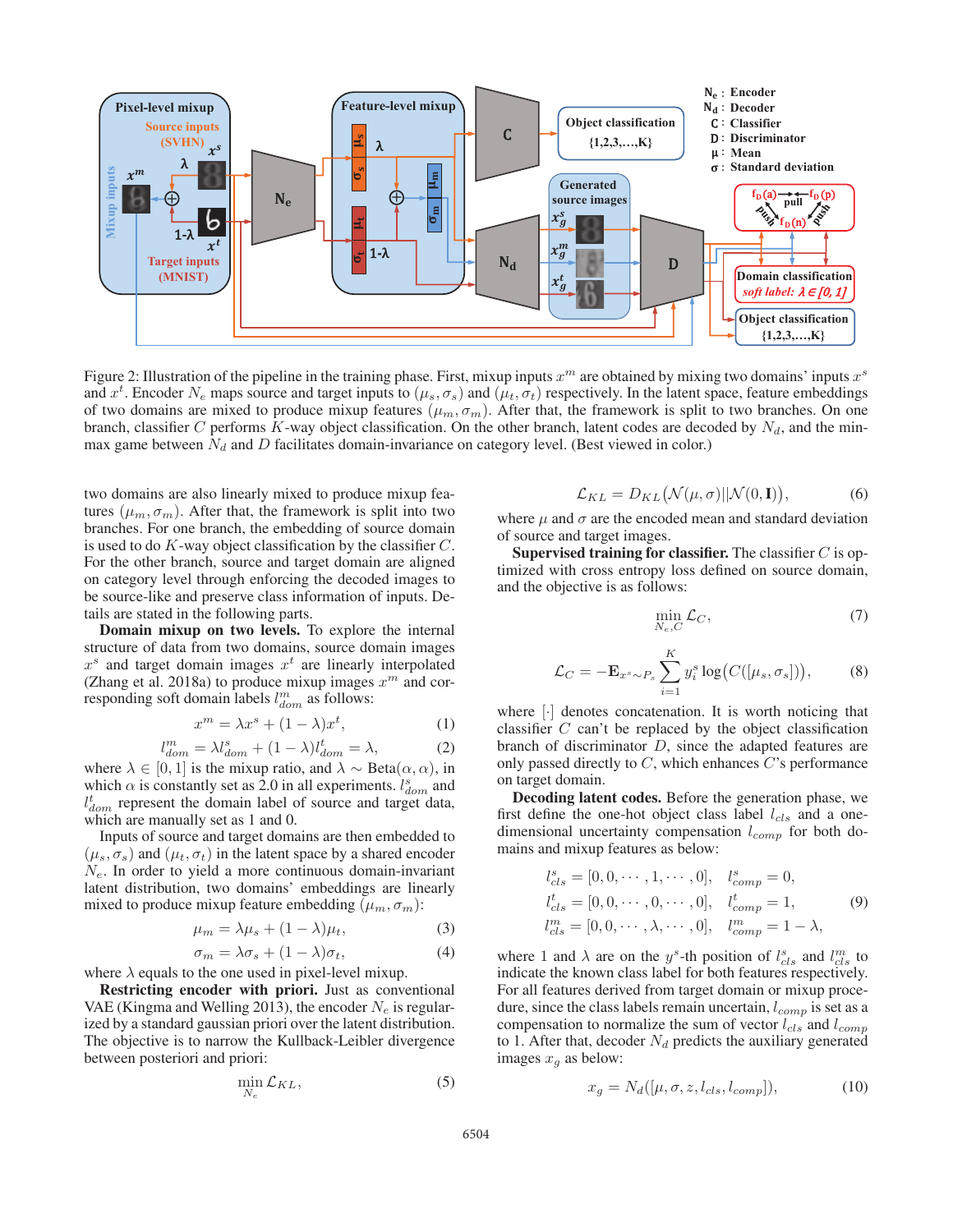

Figure 2: Illustration of the pipeline in the training phase. First, mixup inputs  $x^m$  are obtained by mixing two domains' inputs  $x^s$ and  $x^t$ . Encoder  $N_e$  maps source and target inputs to  $(\mu_s, \sigma_s)$  and  $(\mu_t, \sigma_t)$  respectively. In the latent space, feature embeddings of two domains are mixed to produce mixup features  $(\mu_m, \sigma_m)$ . After that, the framework is split to two branches. On one branch, classifier C performs K-way object classification. On the other branch, latent codes are decoded by  $N_d$ , and the minmax game between  $N_d$  and D facilitates domain-invariance on category level. (Best viewed in color.)

two domains are also linearly mixed to produce mixup features  $(\mu_m, \sigma_m)$ . After that, the framework is split into two branches. For one branch, the embedding of source domain is used to do  $K$ -way object classification by the classifier  $C$ . For the other branch, source and target domain are aligned on category level through enforcing the decoded images to be source-like and preserve class information of inputs. Details are stated in the following parts.

Domain mixup on two levels. To explore the internal structure of data from two domains, source domain images  $x<sup>s</sup>$  and target domain images  $x<sup>t</sup>$  are linearly interpolated (Zhang et al. 2018a) to produce mixup images  $x^m$  and corresponding soft domain labels  $l_{dom}^m$  as follows:

$$
x^m = \lambda x^s + (1 - \lambda)x^t, \tag{1}
$$

$$
_{dom}^{m} = \lambda l_{dom}^{s} + (1 - \lambda)l_{dom}^{t} = \lambda,
$$
 (2)

where  $\lambda \in [0, 1]$  is the mixup ratio, and  $\lambda \sim \text{Beta}(\alpha, \alpha)$ , in which  $\alpha$  is constantly set as 2.0 in all experiments.  $l_{dom}^s$  and  $l_{dom}^t$  represent the domain label of source and target data, which are manually set as 1 and 0.

l

Inputs of source and target domains are then embedded to  $(\mu_s, \sigma_s)$  and  $(\mu_t, \sigma_t)$  in the latent space by a shared encoder  $N_e$ . In order to yield a more continuous domain-invariant latent distribution, two domains' embeddings are linearly mixed to produce mixup feature embedding  $(\mu_m, \sigma_m)$ :

$$
\mu_m = \lambda \mu_s + (1 - \lambda)\mu_t,\tag{3}
$$

$$
\sigma_m = \lambda \sigma_s + (1 - \lambda)\sigma_t, \tag{4}
$$

where  $\lambda$  equals to the one used in pixel-level mixup.

Restricting encoder with priori. Just as conventional VAE (Kingma and Welling 2013), the encoder  $N_e$  is regularized by a standard gaussian priori over the latent distribution. The objective is to narrow the Kullback-Leibler divergence between posteriori and priori:

$$
\min_{N_e} \mathcal{L}_{KL},\tag{5}
$$

$$
\mathcal{L}_{KL} = D_{KL}(\mathcal{N}(\mu, \sigma) || \mathcal{N}(0, \mathbf{I})), \tag{6}
$$

where  $\mu$  and  $\sigma$  are the encoded mean and standard deviation of source and target images.

**Supervised training for classifier.** The classifier  $C$  is optimized with cross entropy loss defined on source domain, and the objective is as follows:

$$
\min_{N_e, C} \mathcal{L}_C,\tag{7}
$$

$$
\mathcal{L}_C = -\mathbf{E}_{x^s \sim P_s} \sum_{i=1}^K y_i^s \log \big(C([\mu_s, \sigma_s])\big),\tag{8}
$$

where [·] denotes concatenation. It is worth noticing that classifier  $C$  can't be replaced by the object classification branch of discriminator D, since the adapted features are only passed directly to  $C$ , which enhances  $C$ 's performance on target domain.

Decoding latent codes. Before the generation phase, we first define the one-hot object class label  $l_{cls}$  and a onedimensional uncertainty compensation  $l_{comp}$  for both domains and mixup features as below:

$$
l_{cls}^{s} = [0, 0, \cdots, 1, \cdots, 0], \quad l_{comp}^{s} = 0,
$$
  
\n
$$
l_{cls}^{t} = [0, 0, \cdots, 0, \cdots, 0], \quad l_{comp}^{t} = 1,
$$
  
\n
$$
l_{cls}^{m} = [0, 0, \cdots, \lambda, \cdots, 0], \quad l_{comp}^{m} = 1 - \lambda,
$$
  
\n(9)

where 1 and  $\lambda$  are on the y<sup>s</sup>-th position of  $l_{cls}^{s}$  and  $l_{cls}^{m}$  to indicate the known class label for both features respectively. For all features derived from target domain or mixup procedure, since the class labels remain uncertain,  $l_{comp}$  is set as a compensation to normalize the sum of vector  $l_{cls}$  and  $l_{comp}$ to 1. After that, decoder  $N_d$  predicts the auxiliary generated images  $x_q$  as below:

$$
x_g = N_d([\mu, \sigma, z, l_{cls}, l_{comp}]),\tag{10}
$$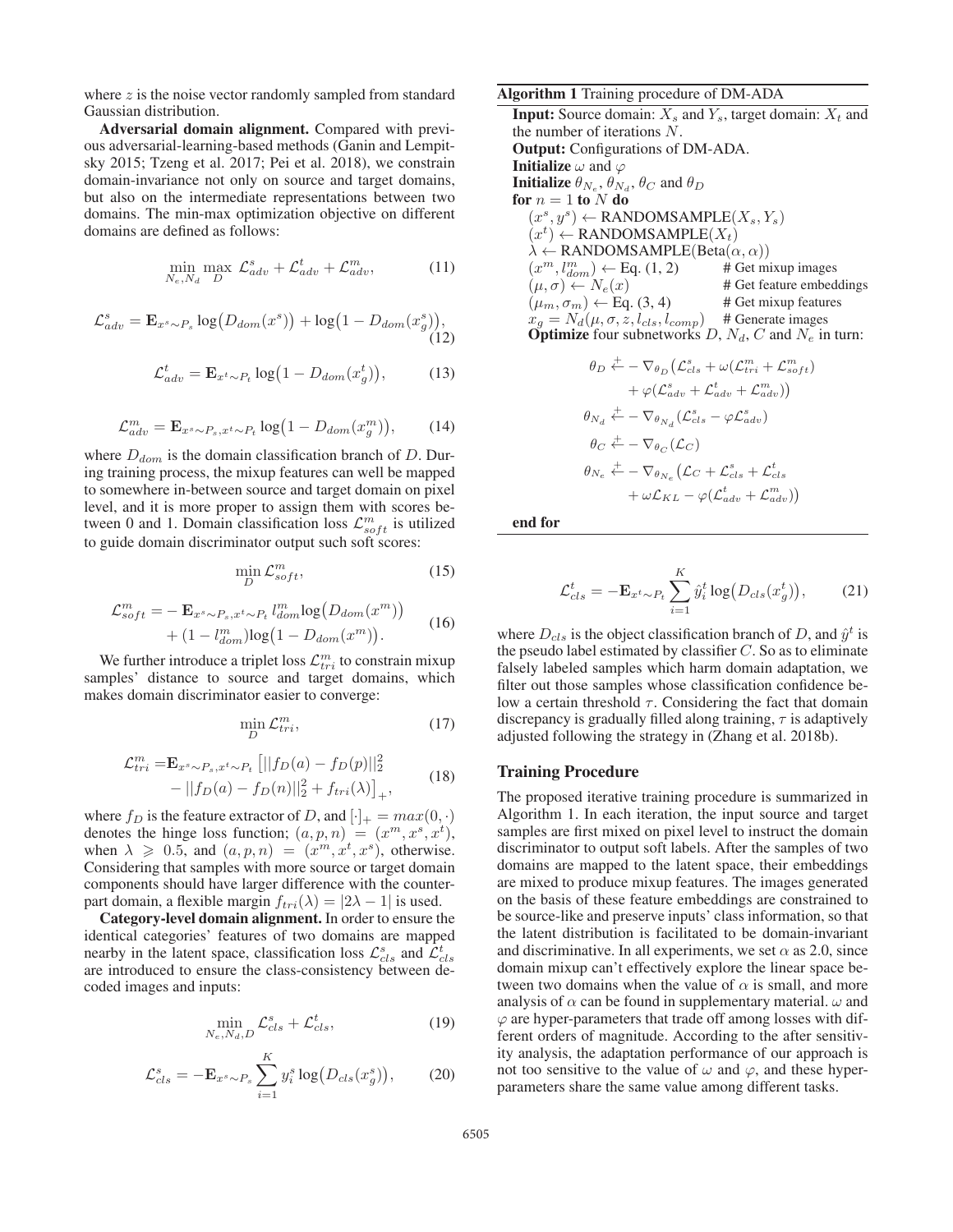where  $z$  is the noise vector randomly sampled from standard Gaussian distribution.

Adversarial domain alignment. Compared with previous adversarial-learning-based methods (Ganin and Lempitsky 2015; Tzeng et al. 2017; Pei et al. 2018), we constrain domain-invariance not only on source and target domains, but also on the intermediate representations between two domains. The min-max optimization objective on different domains are defined as follows:

$$
\min_{N_e, N_d} \max_D \mathcal{L}_{adv}^s + \mathcal{L}_{adv}^t + \mathcal{L}_{adv}^m,
$$
\n(11)

$$
\mathcal{L}_{adv}^{s} = \mathbf{E}_{x^{s} \sim P_{s}} \log(D_{dom}(x^{s})) + \log(1 - D_{dom}(x_{g}^{s})),
$$
\n(12)

$$
\mathcal{L}_{adv}^{t} = \mathbf{E}_{x^{t} \sim P_{t}} \log \left( 1 - D_{dom}(x_{g}^{t}) \right), \tag{13}
$$

$$
\mathcal{L}_{adv}^{m} = \mathbf{E}_{x^{s} \sim P_{s}, x^{t} \sim P_{t}} \log \left( 1 - D_{dom}(x_{g}^{m}) \right), \tag{14}
$$

where  $D_{dom}$  is the domain classification branch of D. During training process, the mixup features can well be mapped to somewhere in-between source and target domain on pixel level, and it is more proper to assign them with scores between 0 and 1. Domain classification loss  $\mathcal{L}_{soft}^{m}$  is utilized to guide domain discriminator output such soft scores:

$$
\min_{D} \mathcal{L}_{soft}^{m},\tag{15}
$$

$$
\mathcal{L}_{soft}^{m} = -\mathbf{E}_{x^{s} \sim P_{s}, x^{t} \sim P_{t}} l_{dom}^{m} \log(D_{dom}(x^{m})) + (1 - l_{dom}^{m}) \log(1 - D_{dom}(x^{m})). \tag{16}
$$

We further introduce a triplet loss  $\mathcal{L}_{tri}^m$  to constrain mixup samples' distance to source and target domains, which makes domain discriminator easier to converge:

$$
\min_{D} \mathcal{L}_{tri}^m,\tag{17}
$$

$$
\mathcal{L}_{tri}^{m} = \mathbf{E}_{x^{s} \sim P_{s}, x^{t} \sim P_{t}} [||f_{D}(a) - f_{D}(p)||_{2}^{2} - ||f_{D}(a) - f_{D}(n)||_{2}^{2} + f_{tri}(\lambda)]_{+},
$$
\n(18)

where  $f_D$  is the feature extractor of D, and  $[\cdot]_+ = max(0, \cdot)$ denotes the hinge loss function;  $(a, p, n) = (x^m, x^s, x^t)$ , when  $\lambda \geqslant 0.5$ , and  $(a, p, n) = (x^m, x^t, x^s)$ , otherwise. Considering that samples with more source or target domain components should have larger difference with the counterpart domain, a flexible margin  $f_{tri}(\lambda) = |2\lambda - 1|$  is used.

Category-level domain alignment. In order to ensure the identical categories' features of two domains are mapped nearby in the latent space, classification loss  $\mathcal{L}_{cls}^{s}$  and  $\mathcal{L}_{cls}^{t}$ are introduced to ensure the class-consistency between decoded images and inputs:

$$
\min_{N_e, N_d, D} \mathcal{L}_{cls}^s + \mathcal{L}_{cls}^t,\tag{19}
$$

$$
\mathcal{L}_{cls}^s = -\mathbf{E}_{x^s \sim P_s} \sum_{i=1}^K y_i^s \log(D_{cls}(x_g^s)),\tag{20}
$$

### Algorithm 1 Training procedure of DM-ADA

**Input:** Source domain:  $X_s$  and  $Y_s$ , target domain:  $X_t$  and the number of iterations N. Output: Configurations of DM-ADA. **Initialize**  $\omega$  and  $\varphi$ **Initialize**  $\theta_{N_e}, \theta_{N_d}, \theta_C$  and  $\theta_D$ for  $n = 1$  to N do  $(x^s, y^s) \leftarrow$  RANDOMSAMPLE $(X_s, Y_s)$  $(x^{t}) \leftarrow$  RANDOMSAMPLE $(X_t)$  $\lambda \leftarrow$  RANDOMSAMPLE(Beta $(\alpha, \alpha)$ )  $(x^m, l_{dom}^m) \leftarrow$  Eq. (1, 2) # Get mixup images  $(\mu, \sigma) \leftarrow N_e(x)$  # Get feature embeddings  $(\mu_m, \sigma_m) \leftarrow$  Eq. (3, 4) # Get mixup features  $x_g = N_d(\mu, \sigma, z, l_{cls}, l_{comp})$  # Generate images **Optimize** four subnetworks  $D$ ,  $N_d$ ,  $C$  and  $N_e$  in turn:

$$
\theta_D \stackrel{+}{\leftarrow} - \nabla_{\theta_D} (\mathcal{L}_{cls}^s + \omega(\mathcal{L}_{tri}^m + \mathcal{L}_{soft}^m) \n+ \varphi(\mathcal{L}_{adv}^s + \mathcal{L}_{adv}^t + \mathcal{L}_{adv}^m))
$$
\n
$$
\theta_{N_d} \stackrel{+}{\leftarrow} - \nabla_{\theta_{N_d}} (\mathcal{L}_{cls}^s - \varphi \mathcal{L}_{adv}^s)
$$
\n
$$
\theta_C \stackrel{+}{\leftarrow} - \nabla_{\theta_C} (\mathcal{L}_C)
$$
\n
$$
\theta_{N_e} \stackrel{+}{\leftarrow} - \nabla_{\theta_{N_e}} (\mathcal{L}_C + \mathcal{L}_{cls}^s + \mathcal{L}_{cls}^t \n+ \omega \mathcal{L}_{KL} - \varphi(\mathcal{L}_{adv}^t + \mathcal{L}_{adv}^m))
$$

end for

$$
\mathcal{L}_{cls}^{t} = -\mathbf{E}_{x^{t} \sim P_{t}} \sum_{i=1}^{K} \hat{y}_{i}^{t} \log (D_{cls}(x_{g}^{t})), \qquad (21)
$$

where  $D_{cls}$  is the object classification branch of D, and  $\hat{y}^t$  is the pseudo label estimated by classifier  $C$ . So as to eliminate falsely labeled samples which harm domain adaptation, we filter out those samples whose classification confidence below a certain threshold  $\tau$ . Considering the fact that domain discrepancy is gradually filled along training,  $\tau$  is adaptively adjusted following the strategy in (Zhang et al. 2018b).

#### Training Procedure

The proposed iterative training procedure is summarized in Algorithm 1. In each iteration, the input source and target samples are first mixed on pixel level to instruct the domain discriminator to output soft labels. After the samples of two domains are mapped to the latent space, their embeddings are mixed to produce mixup features. The images generated on the basis of these feature embeddings are constrained to be source-like and preserve inputs' class information, so that the latent distribution is facilitated to be domain-invariant and discriminative. In all experiments, we set  $\alpha$  as 2.0, since domain mixup can't effectively explore the linear space between two domains when the value of  $\alpha$  is small, and more analysis of  $\alpha$  can be found in supplementary material.  $\omega$  and  $\varphi$  are hyper-parameters that trade off among losses with different orders of magnitude. According to the after sensitivity analysis, the adaptation performance of our approach is not too sensitive to the value of  $\omega$  and  $\varphi$ , and these hyperparameters share the same value among different tasks.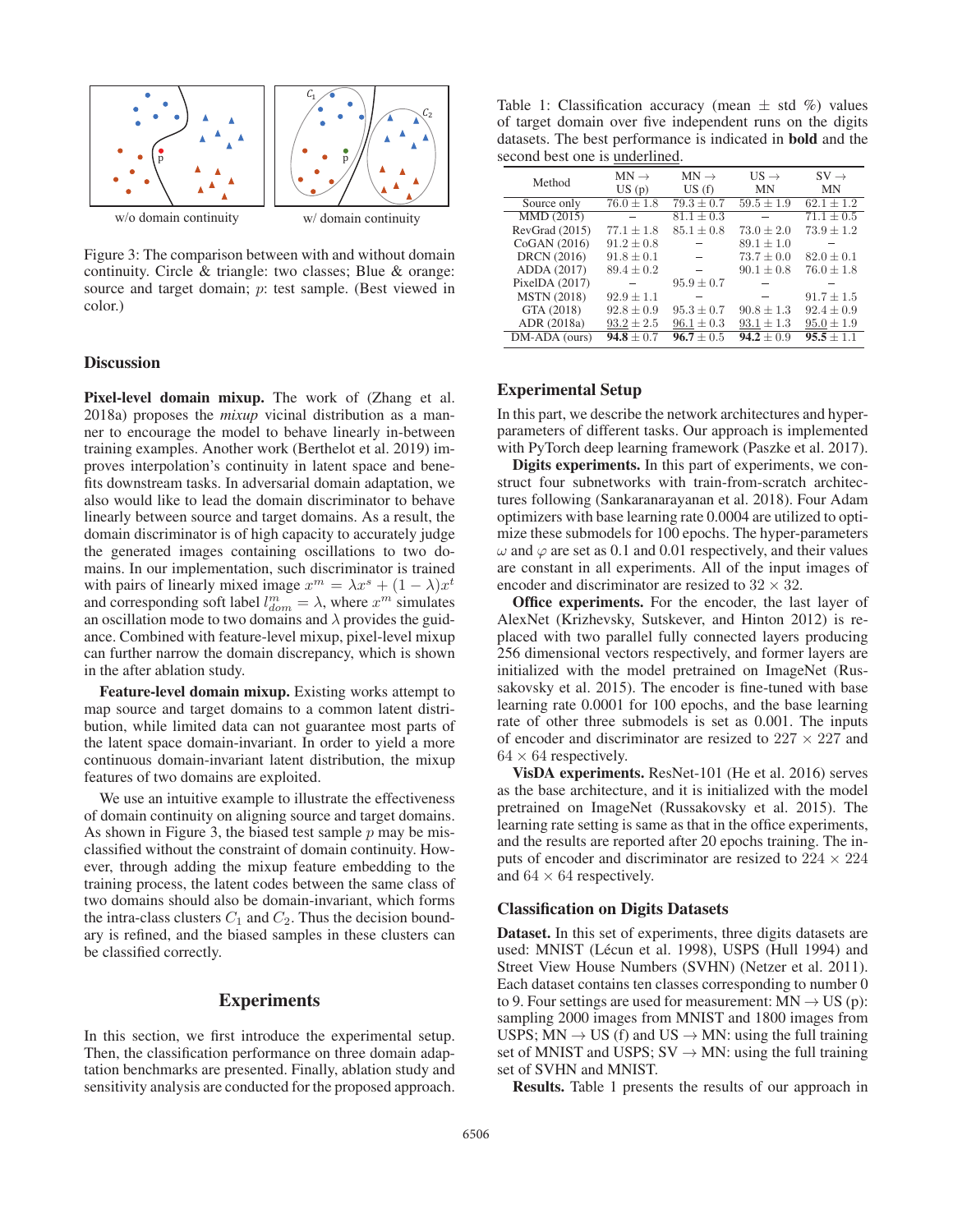

Figure 3: The comparison between with and without domain continuity. Circle & triangle: two classes; Blue & orange: source and target domain; p: test sample. (Best viewed in color.)

#### **Discussion**

Pixel-level domain mixup. The work of (Zhang et al. 2018a) proposes the *mixup* vicinal distribution as a manner to encourage the model to behave linearly in-between training examples. Another work (Berthelot et al. 2019) improves interpolation's continuity in latent space and benefits downstream tasks. In adversarial domain adaptation, we also would like to lead the domain discriminator to behave linearly between source and target domains. As a result, the domain discriminator is of high capacity to accurately judge the generated images containing oscillations to two domains. In our implementation, such discriminator is trained with pairs of linearly mixed image  $x^m = \lambda x^s + (1 - \lambda)x^t$ and corresponding soft label  $l_{dom}^m = \lambda$ , where  $x^m$  simulates an oscillation mode to two domains and  $\lambda$  provides the guidance. Combined with feature-level mixup, pixel-level mixup can further narrow the domain discrepancy, which is shown in the after ablation study.

Feature-level domain mixup. Existing works attempt to map source and target domains to a common latent distribution, while limited data can not guarantee most parts of the latent space domain-invariant. In order to yield a more continuous domain-invariant latent distribution, the mixup features of two domains are exploited.

We use an intuitive example to illustrate the effectiveness of domain continuity on aligning source and target domains. As shown in Figure 3, the biased test sample  $p$  may be misclassified without the constraint of domain continuity. However, through adding the mixup feature embedding to the training process, the latent codes between the same class of two domains should also be domain-invariant, which forms the intra-class clusters  $C_1$  and  $C_2$ . Thus the decision boundary is refined, and the biased samples in these clusters can be classified correctly.

## Experiments

In this section, we first introduce the experimental setup. Then, the classification performance on three domain adaptation benchmarks are presented. Finally, ablation study and sensitivity analysis are conducted for the proposed approach.

Table 1: Classification accuracy (mean  $\pm$  std %) values of target domain over five independent runs on the digits datasets. The best performance is indicated in bold and the second best one is underlined.

| Method             | $MN \rightarrow$ | $MN \rightarrow$ | $US \rightarrow$ | $SV \rightarrow$ |
|--------------------|------------------|------------------|------------------|------------------|
|                    | US(p)            | US(f)            | MN               | MN               |
| Source only        | $76.0 \pm 1.8$   | $79.3 \pm 0.7$   | $59.5 \pm 1.9$   | $62.1 \pm 1.2$   |
| MMD (2015)         |                  | $81.1 \pm 0.3$   |                  | $71.1 \pm 0.5$   |
| RevGrad (2015)     | $77.1 \pm 1.8$   | $85.1 \pm 0.8$   | $73.0 \pm 2.0$   | $73.9 \pm 1.2$   |
| CoGAN (2016)       | $91.2 \pm 0.8$   |                  | $89.1 \pm 1.0$   |                  |
| <b>DRCN</b> (2016) | $91.8 \pm 0.1$   |                  | $73.7 \pm 0.0$   | $82.0 \pm 0.1$   |
| ADDA (2017)        | $89.4 \pm 0.2$   |                  | $90.1 \pm 0.8$   | $76.0 \pm 1.8$   |
| PixelDA $(2017)$   |                  | $95.9 \pm 0.7$   |                  |                  |
| <b>MSTN</b> (2018) | $92.9 \pm 1.1$   |                  |                  | $91.7 \pm 1.5$   |
| GTA (2018)         | $92.8 \pm 0.9$   | $95.3 \pm 0.7$   | $90.8 \pm 1.3$   | $92.4 \pm 0.9$   |
| ADR (2018a)        | $93.2 \pm 2.5$   | $96.1 \pm 0.3$   | $93.1 \pm 1.3$   | $95.0 \pm 1.9$   |
| DM-ADA (ours)      | $94.8 \pm 0.7$   | $96.7 \pm 0.5$   | $94.2 \pm 0.9$   | $95.5 \pm 1.1$   |

#### Experimental Setup

In this part, we describe the network architectures and hyperparameters of different tasks. Our approach is implemented with PyTorch deep learning framework (Paszke et al. 2017).

Digits experiments. In this part of experiments, we construct four subnetworks with train-from-scratch architectures following (Sankaranarayanan et al. 2018). Four Adam optimizers with base learning rate 0.0004 are utilized to optimize these submodels for 100 epochs. The hyper-parameters  $\omega$  and  $\varphi$  are set as 0.1 and 0.01 respectively, and their values are constant in all experiments. All of the input images of encoder and discriminator are resized to  $32 \times 32$ .

Office experiments. For the encoder, the last layer of AlexNet (Krizhevsky, Sutskever, and Hinton 2012) is replaced with two parallel fully connected layers producing 256 dimensional vectors respectively, and former layers are initialized with the model pretrained on ImageNet (Russakovsky et al. 2015). The encoder is fine-tuned with base learning rate 0.0001 for 100 epochs, and the base learning rate of other three submodels is set as 0.001. The inputs of encoder and discriminator are resized to  $227 \times 227$  and  $64 \times 64$  respectively.

VisDA experiments. ResNet-101 (He et al. 2016) serves as the base architecture, and it is initialized with the model pretrained on ImageNet (Russakovsky et al. 2015). The learning rate setting is same as that in the office experiments, and the results are reported after 20 epochs training. The inputs of encoder and discriminator are resized to  $224 \times 224$ and  $64 \times 64$  respectively.

#### Classification on Digits Datasets

Dataset. In this set of experiments, three digits datasets are used: MNIST (Lécun et al. 1998), USPS (Hull 1994) and Street View House Numbers (SVHN) (Netzer et al. 2011). Each dataset contains ten classes corresponding to number 0 to 9. Four settings are used for measurement:  $MN \rightarrow US(p)$ : sampling 2000 images from MNIST and 1800 images from USPS;  $MN \rightarrow US$  (f) and  $US \rightarrow MN$ : using the full training set of MNIST and USPS;  $SV \rightarrow MN$ : using the full training set of SVHN and MNIST.

Results. Table 1 presents the results of our approach in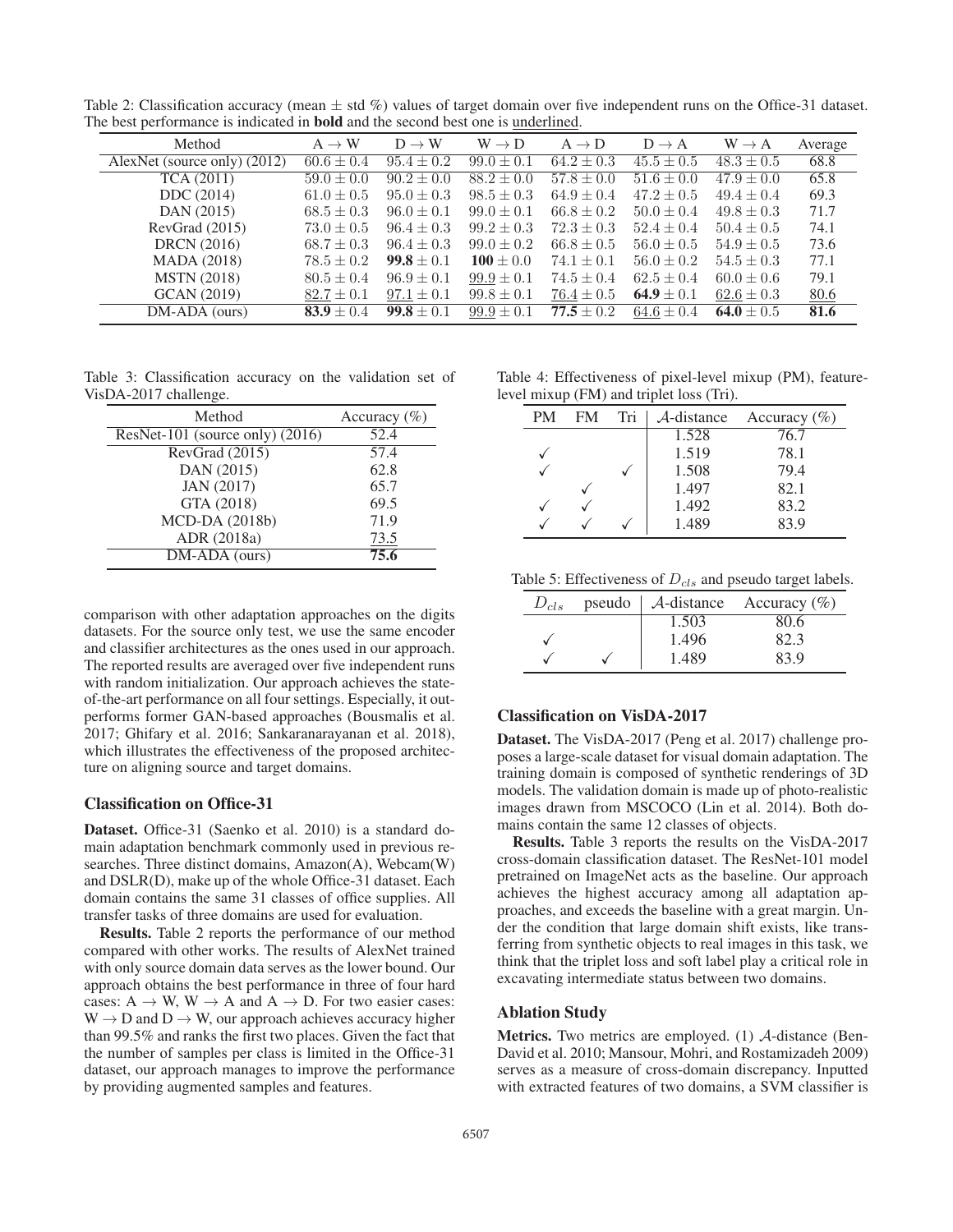| ne ocal performance to mureated in louid and the second ocal one to andermical |                   |                   |                   |                   |                   |                   |         |
|--------------------------------------------------------------------------------|-------------------|-------------------|-------------------|-------------------|-------------------|-------------------|---------|
| Method                                                                         | $A \rightarrow W$ | $D \rightarrow W$ | $W \rightarrow D$ | $A \rightarrow D$ | $D \rightarrow A$ | $W \rightarrow A$ | Average |
| AlexNet (source only) (2012)                                                   | $60.6 \pm 0.4$    | $95.4 \pm 0.2$    | $99.0 \pm 0.1$    | $64.2 \pm 0.3$    | $45.5 \pm 0.5$    | $48.3 \pm 0.5$    | 68.8    |
| TCA (2011)                                                                     | $59.0 \pm 0.0$    | $90.2 \pm 0.0$    | $88.2 \pm 0.0$    | $57.8 \pm 0.0$    | $51.6 \pm 0.0$    | $47.9 \pm 0.0$    | 65.8    |
| DDC (2014)                                                                     | $61.0 \pm 0.5$    | $95.0 \pm 0.3$    | $98.5 \pm 0.3$    | $64.9 \pm 0.4$    | $47.2 \pm 0.5$    | $49.4 \pm 0.4$    | 69.3    |
| DAN (2015)                                                                     | $68.5 \pm 0.3$    | $96.0 \pm 0.1$    | $99.0 \pm 0.1$    | $66.8 \pm 0.2$    | $50.0 \pm 0.4$    | $49.8 \pm 0.3$    | 71.7    |
| RevGrad(2015)                                                                  | $73.0 \pm 0.5$    | $96.4 \pm 0.3$    | $99.2 \pm 0.3$    | $72.3 \pm 0.3$    | $52.4 \pm 0.4$    | $50.4 \pm 0.5$    | 74.1    |
| <b>DRCN</b> (2016)                                                             | $68.7 \pm 0.3$    | $96.4 \pm 0.3$    | $99.0 \pm 0.2$    | $66.8 \pm 0.5$    | $56.0 \pm 0.5$    | $54.9 \pm 0.5$    | 73.6    |
| <b>MADA</b> (2018)                                                             | $78.5 \pm 0.2$    | $99.8 \pm 0.1$    | $100 \pm 0.0$     | $74.1 \pm 0.1$    | $56.0 \pm 0.2$    | $54.5 \pm 0.3$    | 77.1    |
| <b>MSTN</b> (2018)                                                             | $80.5 \pm 0.4$    | $96.9 \pm 0.1$    | $99.9 \pm 0.1$    | $74.5 \pm 0.4$    | $62.5 \pm 0.4$    | $60.0 \pm 0.6$    | 79.1    |
| GCAN (2019)                                                                    | $82.7 \pm 0.1$    | $97.1 \pm 0.1$    | $99.8 \pm 0.1$    | $76.4 \pm 0.5$    | 64.9 $\pm$ 0.1    | $62.6 \pm 0.3$    | 80.6    |
| $DM-ADA$ (ours)                                                                | $83.9 \pm 0.4$    | $99.8 \pm 0.1$    | $99.9 \pm 0.1$    | $77.5 \pm 0.2$    | $64.6 \pm 0.4$    | 64.0 $\pm$ 0.5    | 81.6    |
|                                                                                |                   |                   |                   |                   |                   |                   |         |

Table 2: Classification accuracy (mean  $\pm$  std %) values of target domain over five independent runs on the Office-31 dataset. The best performance is indicated in bold and the second best one is underlined.

Table 3: Classification accuracy on the validation set of VisDA-2017 challenge.

| Method                          | Accuracy $(\% )$ |
|---------------------------------|------------------|
| ResNet-101 (source only) (2016) | 52.4             |
| RevGrad (2015)                  | 57.4             |
| DAN (2015)                      | 62.8             |
| JAN (2017)                      | 65.7             |
| GTA (2018)                      | 69.5             |
| MCD-DA (2018b)                  | 71.9             |
| ADR (2018a)                     | 73.5             |
| DM-ADA (ours)                   | 75.6             |

comparison with other adaptation approaches on the digits datasets. For the source only test, we use the same encoder and classifier architectures as the ones used in our approach. The reported results are averaged over five independent runs with random initialization. Our approach achieves the stateof-the-art performance on all four settings. Especially, it outperforms former GAN-based approaches (Bousmalis et al. 2017; Ghifary et al. 2016; Sankaranarayanan et al. 2018), which illustrates the effectiveness of the proposed architecture on aligning source and target domains.

#### Classification on Office-31

Dataset. Office-31 (Saenko et al. 2010) is a standard domain adaptation benchmark commonly used in previous researches. Three distinct domains, Amazon(A), Webcam(W) and DSLR(D), make up of the whole Office-31 dataset. Each domain contains the same 31 classes of office supplies. All transfer tasks of three domains are used for evaluation.

Results. Table 2 reports the performance of our method compared with other works. The results of AlexNet trained with only source domain data serves as the lower bound. Our approach obtains the best performance in three of four hard cases:  $A \rightarrow W$ ,  $W \rightarrow A$  and  $A \rightarrow D$ . For two easier cases:  $W \rightarrow D$  and  $D \rightarrow W$ , our approach achieves accuracy higher than 99.5% and ranks the first two places. Given the fact that the number of samples per class is limited in the Office-31 dataset, our approach manages to improve the performance by providing augmented samples and features.

Table 4: Effectiveness of pixel-level mixup (PM), featurelevel mixup (FM) and triplet loss (Tri).

| PM | FM | Tri | $A$ -distance | Accuracy $(\% )$ |  |
|----|----|-----|---------------|------------------|--|
|    |    |     | 1.528         | 76.7             |  |
|    |    |     | 1.519         | 78.1             |  |
|    |    |     | 1.508         | 79.4             |  |
|    |    |     | 1.497         | 82.1             |  |
|    |    |     | 1.492         | 83.2             |  |
|    |    |     | 1.489         | 83.9             |  |
|    |    |     |               |                  |  |

Table 5: Effectiveness of  $D_{cls}$  and pseudo target labels.

| $D_{cls}$ |       | pseudo   $\mathcal A$ -distance Accuracy (%) |  |
|-----------|-------|----------------------------------------------|--|
|           | 1.503 | 80.6                                         |  |
|           | 1.496 | 82.3                                         |  |
|           | 1.489 | 83 9                                         |  |

### Classification on VisDA-2017

Dataset. The VisDA-2017 (Peng et al. 2017) challenge proposes a large-scale dataset for visual domain adaptation. The training domain is composed of synthetic renderings of 3D models. The validation domain is made up of photo-realistic images drawn from MSCOCO (Lin et al. 2014). Both domains contain the same 12 classes of objects.

Results. Table 3 reports the results on the VisDA-2017 cross-domain classification dataset. The ResNet-101 model pretrained on ImageNet acts as the baseline. Our approach achieves the highest accuracy among all adaptation approaches, and exceeds the baseline with a great margin. Under the condition that large domain shift exists, like transferring from synthetic objects to real images in this task, we think that the triplet loss and soft label play a critical role in excavating intermediate status between two domains.

### Ablation Study

Metrics. Two metrics are employed. (1) A-distance (Ben-David et al. 2010; Mansour, Mohri, and Rostamizadeh 2009) serves as a measure of cross-domain discrepancy. Inputted with extracted features of two domains, a SVM classifier is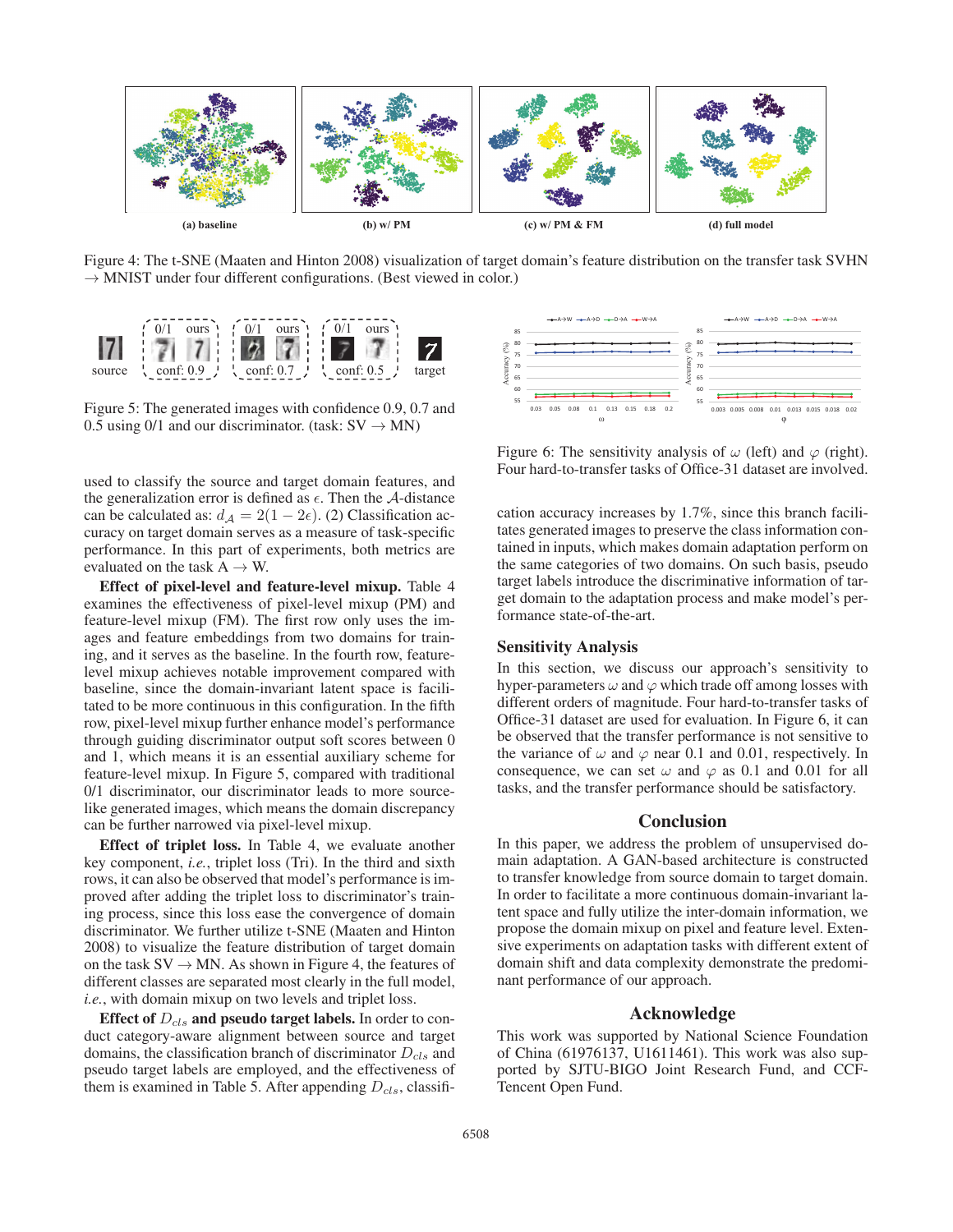

Figure 4: The t-SNE (Maaten and Hinton 2008) visualization of target domain's feature distribution on the transfer task SVHN  $\rightarrow$  MNIST under four different configurations. (Best viewed in color.)



Figure 5: The generated images with confidence 0.9, 0.7 and 0.5 using 0/1 and our discriminator. (task:  $SV \rightarrow MN$ )

used to classify the source and target domain features, and the generalization error is defined as  $\epsilon$ . Then the A-distance can be calculated as:  $d_A = 2(1 - 2\epsilon)$ . (2) Classification accuracy on target domain serves as a measure of task-specific performance. In this part of experiments, both metrics are evaluated on the task  $A \rightarrow W$ .

Effect of pixel-level and feature-level mixup. Table 4 examines the effectiveness of pixel-level mixup (PM) and feature-level mixup (FM). The first row only uses the images and feature embeddings from two domains for training, and it serves as the baseline. In the fourth row, featurelevel mixup achieves notable improvement compared with baseline, since the domain-invariant latent space is facilitated to be more continuous in this configuration. In the fifth row, pixel-level mixup further enhance model's performance through guiding discriminator output soft scores between 0 and 1, which means it is an essential auxiliary scheme for feature-level mixup. In Figure 5, compared with traditional 0/1 discriminator, our discriminator leads to more sourcelike generated images, which means the domain discrepancy can be further narrowed via pixel-level mixup.

Effect of triplet loss. In Table 4, we evaluate another key component, *i.e.*, triplet loss (Tri). In the third and sixth rows, it can also be observed that model's performance is improved after adding the triplet loss to discriminator's training process, since this loss ease the convergence of domain discriminator. We further utilize t-SNE (Maaten and Hinton 2008) to visualize the feature distribution of target domain on the task  $SV \rightarrow MN$ . As shown in Figure 4, the features of different classes are separated most clearly in the full model, *i.e.*, with domain mixup on two levels and triplet loss.

Effect of  $D_{cls}$  and pseudo target labels. In order to conduct category-aware alignment between source and target domains, the classification branch of discriminator  $D_{cls}$  and pseudo target labels are employed, and the effectiveness of them is examined in Table 5. After appending  $D_{cls}$ , classifi-



Figure 6: The sensitivity analysis of  $\omega$  (left) and  $\varphi$  (right). Four hard-to-transfer tasks of Office-31 dataset are involved.

cation accuracy increases by 1.7%, since this branch facilitates generated images to preserve the class information contained in inputs, which makes domain adaptation perform on the same categories of two domains. On such basis, pseudo target labels introduce the discriminative information of target domain to the adaptation process and make model's performance state-of-the-art.

### Sensitivity Analysis

In this section, we discuss our approach's sensitivity to hyper-parameters  $\omega$  and  $\varphi$  which trade off among losses with different orders of magnitude. Four hard-to-transfer tasks of Office-31 dataset are used for evaluation. In Figure 6, it can be observed that the transfer performance is not sensitive to the variance of  $\omega$  and  $\varphi$  near 0.1 and 0.01, respectively. In consequence, we can set  $\omega$  and  $\varphi$  as 0.1 and 0.01 for all tasks, and the transfer performance should be satisfactory.

# **Conclusion**

In this paper, we address the problem of unsupervised domain adaptation. A GAN-based architecture is constructed to transfer knowledge from source domain to target domain. In order to facilitate a more continuous domain-invariant latent space and fully utilize the inter-domain information, we propose the domain mixup on pixel and feature level. Extensive experiments on adaptation tasks with different extent of domain shift and data complexity demonstrate the predominant performance of our approach.

#### Acknowledge

This work was supported by National Science Foundation of China (61976137, U1611461). This work was also supported by SJTU-BIGO Joint Research Fund, and CCF-Tencent Open Fund.